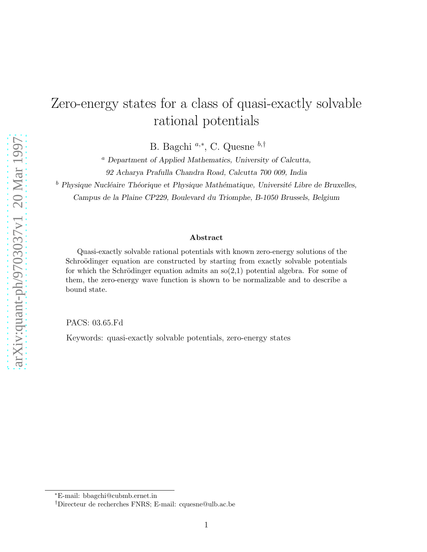## Zero-energy states for a class of quasi-exactly solvable rational potentials

B. Bagchi<sup>a,∗</sup>, C. Quesne <sup>b,†</sup>

<sup>a</sup> Department of Applied Mathematics, University of Calcutta, 92 Acharya Prafulla Chandra Road, Calcutta 700 009, India

 $b$  Physique Nucléaire Théorique et Physique Mathématique, Université Libre de Bruxelles,

Campus de la Plaine CP229, Boulevard du Triomphe, B-1050 Brussels, Belgium

## Abstract

Quasi-exactly solvable rational potentials with known zero-energy solutions of the Schroödinger equation are constructed by starting from exactly solvable potentials for which the Schrödinger equation admits an  $\mathfrak{so}(2,1)$  potential algebra. For some of them, the zero-energy wave function is shown to be normalizable and to describe a bound state.

PACS: 03.65.Fd

Keywords: quasi-exactly solvable potentials, zero-energy states

<sup>∗</sup>E-mail: bbagchi@cubmb.ernet.in

<sup>†</sup>Directeur de recherches FNRS; E-mail: cquesne@ulb.ac.be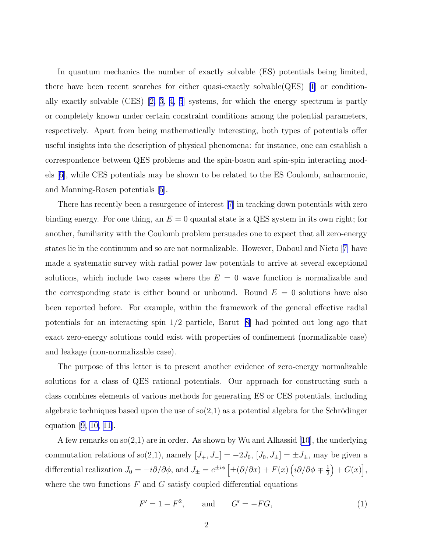<span id="page-1-0"></span>In quantum mechanics the number of exactly solvable (ES) potentials being limited, there have been recent searches for either quasi-exactly solvable(QES) [\[1\]](#page-10-0) or conditionally exactly solvable (CES)[[2, 3](#page-10-0), [4, 5](#page-10-0)] systems, for which the energy spectrum is partly or completely known under certain constraint conditions among the potential parameters, respectively. Apart from being mathematically interesting, both types of potentials offer useful insights into the description of physical phenomena: for instance, one can establish a correspondence between QES problems and the spin-boson and spin-spin interacting models [\[6\]](#page-10-0), while CES potentials may be shown to be related to the ES Coulomb, anharmonic, and Manning-Rosen potentials[[5\]](#page-10-0).

There has recently been a resurgence of interest[[7](#page-10-0)] in tracking down potentials with zero binding energy. For one thing, an  $E = 0$  quantal state is a QES system in its own right; for another, familiarity with the Coulomb problem persuades one to expect that all zero-energy states lie in the continuum and so are not normalizable. However, Daboul and Nieto[[7\]](#page-10-0) have made a systematic survey with radial power law potentials to arrive at several exceptional solutions, which include two cases where the  $E = 0$  wave function is normalizable and the corresponding state is either bound or unbound. Bound  $E = 0$  solutions have also been reported before. For example, within the framework of the general effective radial potentials for an interacting spin 1/2 particle, Barut[[8\]](#page-10-0) had pointed out long ago that exact zero-energy solutions could exist with properties of confinement (normalizable case) and leakage (non-normalizable case).

The purpose of this letter is to present another evidence of zero-energy normalizable solutions for a class of QES rational potentials. Our approach for constructing such a class combines elements of various methods for generating ES or CES potentials, including algebraic techniques based upon the use of  $\mathfrak{so}(2,1)$  as a potential algebra for the Schrödinger equation[[9, 10, 11\]](#page-10-0).

A few remarks on  $\mathfrak{so}(2,1)$  are in order. As shown by Wu and Alhassid [\[10](#page-10-0)], the underlying commutation relations of so(2,1), namely  $[J_+, J_-] = -2J_0$ ,  $[J_0, J_{\pm}] = \pm J_{\pm}$ , may be given a differential realization  $J_0 = -i\partial/\partial\phi$ , and  $J_{\pm} = e^{\pm i\phi} \left[ \pm (\partial/\partial x) + F(x) \left( i\partial/\partial\phi \mp \frac{1}{2} \right) \right]$  $\frac{1}{2}\Big) + G(x) \Big],$ where the two functions  $F$  and  $G$  satisfy coupled differential equations

$$
F' = 1 - F^2
$$
, and  $G' = -FG$ , (1)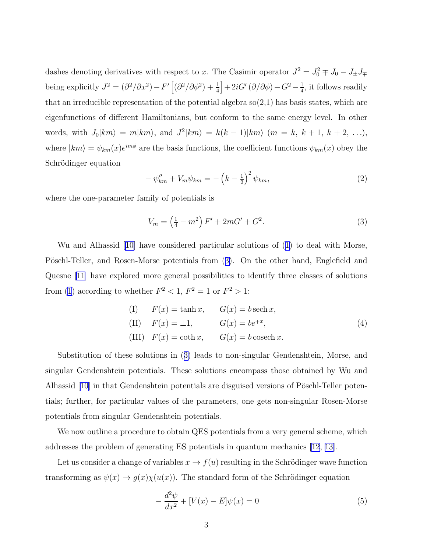<span id="page-2-0"></span>dashes denoting derivatives with respect to x. The Casimir operator  $J^2 = J_0^2 \mp J_0 - J_{\pm} J_{\mp}$ being explicitly  $J^2 = (\partial^2/\partial x^2) - F' \left[ (\partial^2/\partial \phi^2) + \frac{1}{4} \right] + 2iG' (\partial/\partial \phi) - G^2 - \frac{1}{4}$  $\frac{1}{4}$ , it follows readily that an irreducible representation of the potential algebra so(2,1) has basis states, which are eigenfunctions of different Hamiltonians, but conform to the same energy level. In other words, with  $J_0|km\rangle = m|km\rangle$ , and  $J^2|km\rangle = k(k-1)|km\rangle$   $(m = k, k+1, k+2, \ldots),$ where  $|km\rangle = \psi_{km}(x)e^{im\phi}$  are the basis functions, the coefficient functions  $\psi_{km}(x)$  obey the Schrödinger equation

$$
-\psi''_{km} + V_m \psi_{km} = -\left(k - \frac{1}{2}\right)^2 \psi_{km},\tag{2}
$$

where the one-parameter family of potentials is

$$
V_m = \left(\frac{1}{4} - m^2\right)F' + 2mG' + G^2.
$$
\n(3)

Wu and Alhassid[[10\]](#page-10-0) have considered particular solutions of [\(1](#page-1-0)) to deal with Morse, Pöschl-Teller, and Rosen-Morse potentials from (3). On the other hand, Englefield and Quesne [\[11\]](#page-10-0) have explored more general possibilities to identify three classes of solutions from [\(1\)](#page-1-0) according to whether  $F^2 < 1$ ,  $F^2 = 1$  or  $F^2 > 1$ :

(I) 
$$
F(x) = \tanh x
$$
,  $G(x) = b \operatorname{sech} x$ ,  
\n(II)  $F(x) = \pm 1$ ,  $G(x) = be^{\mp x}$ ,  
\n(III)  $F(x) = \coth x$ ,  $G(x) = b \operatorname{cosech} x$ . (4)

Substitution of these solutions in (3) leads to non-singular Gendenshtein, Morse, and singular Gendenshtein potentials. These solutions encompass those obtained by Wu and Alhassid  $[10]$  in that Gendenshtein potentials are disguised versions of Pöschl-Teller potentials; further, for particular values of the parameters, one gets non-singular Rosen-Morse potentials from singular Gendenshtein potentials.

We now outline a procedure to obtain QES potentials from a very general scheme, which addresses the problem of generating ES potentials in quantum mechanics [\[12, 13\]](#page-10-0).

Let us consider a change of variables  $x \to f(u)$  resulting in the Schrödinger wave function transforming as  $\psi(x) \to g(x)\chi(u(x))$ . The standard form of the Schrödinger equation

$$
-\frac{d^2\psi}{dx^2} + [V(x) - E]\psi(x) = 0
$$
\n(5)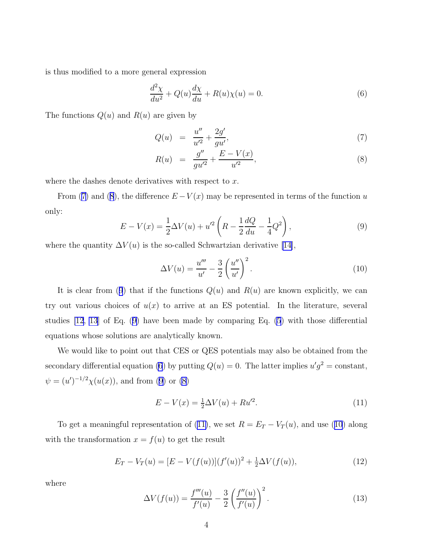<span id="page-3-0"></span>is thus modified to a more general expression

$$
\frac{d^2\chi}{du^2} + Q(u)\frac{d\chi}{du} + R(u)\chi(u) = 0.
$$
\n(6)

The functions  $Q(u)$  and  $R(u)$  are given by

$$
Q(u) = \frac{u''}{u'^2} + \frac{2g'}{gu'},
$$
\n(7)

$$
R(u) = \frac{g''}{gu'^2} + \frac{E - V(x)}{u'^2},\tag{8}
$$

where the dashes denote derivatives with respect to x.

From (7) and (8), the difference  $E - V(x)$  may be represented in terms of the function u only:

$$
E - V(x) = \frac{1}{2}\Delta V(u) + u'^2 \left( R - \frac{1}{2}\frac{dQ}{du} - \frac{1}{4}Q^2 \right),
$$
\n(9)

where the quantity  $\Delta V(u)$  is the so-called Schwartzian derivative [\[14\]](#page-10-0),

$$
\Delta V(u) = \frac{u'''}{u'} - \frac{3}{2} \left(\frac{u''}{u'}\right)^2.
$$
\n
$$
(10)
$$

It is clear from (9) that if the functions  $Q(u)$  and  $R(u)$  are known explicitly, we can try out various choices of  $u(x)$  to arrive at an ES potential. In the literature, several studies [\[12](#page-10-0), [13](#page-10-0)] of Eq. (9) have been made by comparing Eq. [\(5](#page-2-0)) with those differential equations whose solutions are analytically known.

We would like to point out that CES or QES potentials may also be obtained from the secondary differential equation (6) by putting  $Q(u) = 0$ . The latter implies  $u'g^2 = \text{constant}$ ,  $\psi = (u')^{-1/2} \chi(u(x))$ , and from (9) or (8)

$$
E - V(x) = \frac{1}{2}\Delta V(u) + Ru'^2.
$$
\n(11)

To get a meaningful representation of (11), we set  $R = E_T - V_T(u)$ , and use (10) along with the transformation  $x = f(u)$  to get the result

$$
E_T - V_T(u) = [E - V(f(u))](f'(u))^2 + \frac{1}{2}\Delta V(f(u)),
$$
\n(12)

where

$$
\Delta V(f(u)) = \frac{f'''(u)}{f'(u)} - \frac{3}{2} \left( \frac{f''(u)}{f'(u)} \right)^2.
$$
 (13)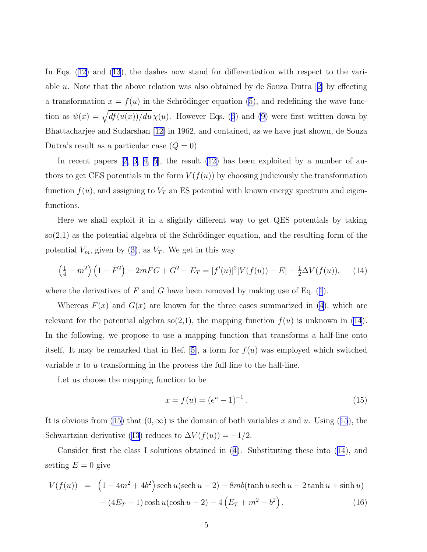<span id="page-4-0"></span>In Eqs.([12\)](#page-3-0) and [\(13](#page-3-0)), the dashes now stand for differentiation with respect to the variableu. Note that the above relation was also obtained by de Souza Dutra  $[2]$  $[2]$  by effecting atransformation  $x = f(u)$  in the Schrödinger equation ([5\)](#page-2-0), and redefining the wave functionas  $\psi(x) = \sqrt{df(u(x))/du} \chi(u)$ . However Eqs. ([6](#page-3-0)) and [\(9](#page-3-0)) were first written down by Bhattacharjee and Sudarshan [\[12](#page-10-0)] in 1962, and contained, as we have just shown, de Souza Dutra's result as a particular case  $(Q = 0)$ .

Inrecent papers  $[2, 3, 4, 5]$  $[2, 3, 4, 5]$  $[2, 3, 4, 5]$  $[2, 3, 4, 5]$ , the result  $(12)$  has been exploited by a number of authors to get CES potentials in the form  $V(f(u))$  by choosing judiciously the transformation function  $f(u)$ , and assigning to  $V_T$  an ES potential with known energy spectrum and eigenfunctions.

Here we shall exploit it in a slightly different way to get QES potentials by taking  $\mathfrak{so}(2,1)$  as the potential algebra of the Schrödinger equation, and the resulting form of the potential $V_m$ , given by ([3\)](#page-2-0), as  $V_T$ . We get in this way

$$
\left(\frac{1}{4} - m^2\right) \left(1 - F^2\right) - 2mFG + G^2 - E_T = [f'(u)]^2 [V(f(u)) - E] - \frac{1}{2} \Delta V(f(u)), \quad (14)
$$

wherethe derivatives of F and G have been removed by making use of Eq.  $(1)$  $(1)$  $(1)$ .

Whereas  $F(x)$  and  $G(x)$  are known for the three cases summarized in [\(4](#page-2-0)), which are relevant for the potential algebra  $\mathfrak{so}(2,1)$ , the mapping function  $f(u)$  is unknown in (14). In the following, we propose to use a mapping function that transforms a half-line onto itself.It may be remarked that in Ref. [[5\]](#page-10-0), a form for  $f(u)$  was employed which switched variable x to u transforming in the process the full line to the half-line.

Let us choose the mapping function to be

$$
x = f(u) = (e^u - 1)^{-1}.
$$
\n(15)

It is obvious from (15) that  $(0, \infty)$  is the domain of both variables x and u. Using (15), the Schwartzianderivative ([13](#page-3-0)) reduces to  $\Delta V(f(u)) = -1/2$ .

Consider first the class I solutions obtained in([4\)](#page-2-0). Substituting these into (14), and setting  $E = 0$  give

$$
V(f(u)) = (1 - 4m^2 + 4b^2) \operatorname{sech} u(\operatorname{sech} u - 2) - 8mb(\tanh u \operatorname{sech} u - 2 \tanh u + \sinh u) - (4E_T + 1) \cosh u(\cosh u - 2) - 4(E_T + m^2 - b^2).
$$
 (16)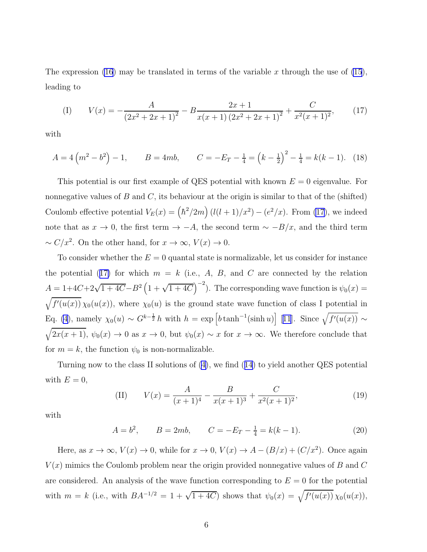The expression [\(16](#page-4-0)) may be translated in terms of the variable x through the use of [\(15](#page-4-0)), leading to

(I) 
$$
V(x) = -\frac{A}{(2x^2 + 2x + 1)^2} - B \frac{2x + 1}{x(x + 1)(2x^2 + 2x + 1)^2} + \frac{C}{x^2(x + 1)^2},
$$
(17)

with

$$
A = 4\left(m^2 - b^2\right) - 1, \qquad B = 4mb, \qquad C = -E_T - \frac{1}{4} = \left(k - \frac{1}{2}\right)^2 - \frac{1}{4} = k(k - 1). \tag{18}
$$

This potential is our first example of QES potential with known  $E = 0$  eigenvalue. For nonnegative values of B and C, its behaviour at the origin is similar to that of the (shifted) Coulomb effective potential  $V_E(x) = (\hbar^2/2m)(l(l+1)/x^2) - (e^2/x)$ . From (17), we indeed note that as  $x \to 0$ , the first term  $\to -A$ , the second term  $\sim -B/x$ , and the third term  $\sim C/x^2$ . On the other hand, for  $x \to \infty$ ,  $V(x) \to 0$ .

To consider whether the  $E = 0$  quantal state is normalizable, let us consider for instance the potential (17) for which  $m = k$  (i.e., A, B, and C are connected by the relation  $A = 1+4C+2\sqrt{1+4C}-B^2\left(1+\sqrt{1+4C}\right)^{-2}$ . The corresponding wave function is  $\psi_0(x) =$  $\sqrt{f'(u(x))}\,\chi_0(u(x))$ , where  $\chi_0(u)$  is the ground state wave function of class I potential in Eq. [\(4](#page-2-0)), namely  $\chi_0(u) \sim G^{k-\frac{1}{2}} h$  with  $h = \exp \left[ b \tanh^{-1}(\sinh u) \right]$  [[11](#page-10-0)]. Since  $\sqrt{f'(u(x))} \sim$  $\sqrt{2x(x+1)}$ ,  $\psi_0(x) \to 0$  as  $x \to 0$ , but  $\psi_0(x) \sim x$  for  $x \to \infty$ . We therefore conclude that for  $m = k$ , the function  $\psi_0$  is non-normalizable.

Turning now to the class II solutions of [\(4\)](#page-2-0), we find([14](#page-4-0)) to yield another QES potential with  $E = 0$ ,

(II) 
$$
V(x) = \frac{A}{(x+1)^4} - \frac{B}{x(x+1)^3} + \frac{C}{x^2(x+1)^2},
$$
 (19)

with

$$
A = b^2
$$
,  $B = 2mb$ ,  $C = -E_T - \frac{1}{4} = k(k-1)$ . (20)

Here, as  $x \to \infty$ ,  $V(x) \to 0$ , while for  $x \to 0$ ,  $V(x) \to A - (B/x) + (C/x^2)$ . Once again  $V(x)$  mimics the Coulomb problem near the origin provided nonnegative values of B and C are considered. An analysis of the wave function corresponding to  $E = 0$  for the potential with  $m = k$  (i.e., with  $BA^{-1/2} = 1 + \sqrt{1+4C}$ ) shows that  $\psi_0(x) = \sqrt{f'(u(x))} \chi_0(u(x))$ ,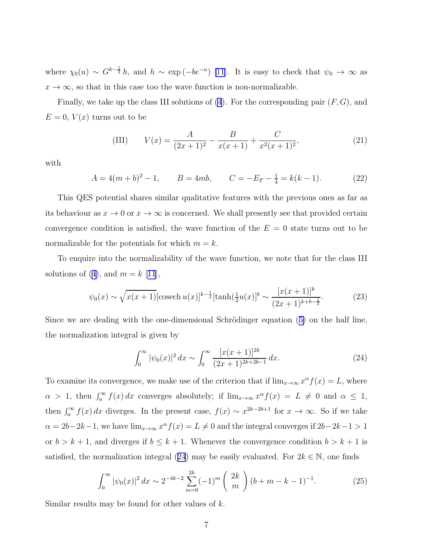<span id="page-6-0"></span>where  $\chi_0(u) \sim G^{k-\frac{1}{2}}h$ , and  $h \sim \exp(-be^{-u})$  [\[11](#page-10-0)]. It is easy to check that  $\psi_0 \to \infty$  as  $x \to \infty$ , so that in this case too the wave function is non-normalizable.

Finally, we take up the class III solutions of  $(4)$ . For the corresponding pair  $(F, G)$ , and  $E = 0, V(x)$  turns out to be

(III) 
$$
V(x) = \frac{A}{(2x+1)^2} - \frac{B}{x(x+1)} + \frac{C}{x^2(x+1)^2},
$$
 (21)

with

$$
A = 4(m+b)^{2} - 1, \qquad B = 4mb, \qquad C = -E_{T} - \frac{1}{4} = k(k-1). \tag{22}
$$

This QES potential shares similar qualitative features with the previous ones as far as its behaviour as  $x \to 0$  or  $x \to \infty$  is concerned. We shall presently see that provided certain convergence condition is satisfied, the wave function of the  $E = 0$  state turns out to be normalizable for the potentials for which  $m = k$ .

To enquire into the normalizability of the wave function, we note that for the class III solutionsof ([4\)](#page-2-0), and  $m = k$  [[11](#page-10-0)],

$$
\psi_0(x) \sim \sqrt{x(x+1)} [\text{cosech } u(x)]^{k-\frac{1}{2}} [\tanh(\frac{1}{2}u(x)]^b \sim \frac{[x(x+1)]^k}{(2x+1)^{k+b-\frac{1}{2}}}.
$$
\n(23)

Since we are dealing with the one-dimensional Schrödinger equation  $(5)$  $(5)$  on the half line, the normalization integral is given by

$$
\int_0^\infty |\psi_0(x)|^2 \, dx \sim \int_0^\infty \frac{[x(x+1)]^{2k}}{(2x+1)^{2k+2b-1}} \, dx. \tag{24}
$$

To examine its convergence, we make use of the criterion that if  $\lim_{x\to\infty} x^{\alpha} f(x) = L$ , where  $\alpha > 1$ , then  $\int_a^{\infty} f(x) dx$  converges absolutely; if  $\lim_{x\to\infty} x^{\alpha} f(x) = L \neq 0$  and  $\alpha \leq 1$ , then  $\int_a^{\infty} f(x) dx$  diverges. In the present case,  $f(x) \sim x^{2k-2b+1}$  for  $x \to \infty$ . So if we take  $\alpha = 2b-2k-1$ , we have  $\lim_{x\to\infty} x^{\alpha} f(x) = L \neq 0$  and the integral converges if  $2b-2k-1 > 1$ or  $b > k + 1$ , and diverges if  $b \leq k + 1$ . Whenever the convergence condition  $b > k + 1$  is satisfied, the normalization integral (24) may be easily evaluated. For  $2k \in \mathbb{N}$ , one finds

$$
\int_0^\infty |\psi_0(x)|^2 \, dx \sim 2^{-4k-2} \sum_{m=0}^{2k} (-1)^m \left( \frac{2k}{m} \right) (b+m-k-1)^{-1}.\tag{25}
$$

Similar results may be found for other values of k.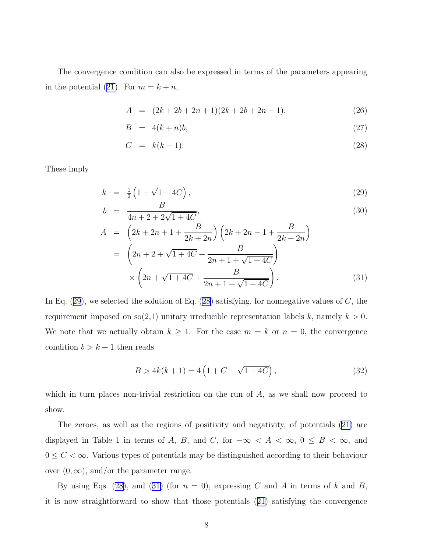<span id="page-7-0"></span>The convergence condition can also be expressed in terms of the parameters appearing inthe potential ([21\)](#page-6-0). For  $m = k + n$ ,

$$
A = (2k + 2b + 2n + 1)(2k + 2b + 2n - 1),
$$
\n(26)

$$
B = 4(k+n)b,\t(27)
$$

$$
C = k(k-1). \tag{28}
$$

These imply

$$
k = \frac{1}{2} \left( 1 + \sqrt{1 + 4C} \right),\tag{29}
$$

$$
b = \frac{B}{4n + 2 + 2\sqrt{1 + 4C}},\tag{30}
$$

$$
A = \left(2k + 2n + 1 + \frac{B}{2k + 2n}\right)\left(2k + 2n - 1 + \frac{B}{2k + 2n}\right)
$$
  
= 
$$
\left(2n + 2 + \sqrt{1 + 4C} + \frac{B}{2n + 1 + \sqrt{1 + 4C}}\right)
$$
  

$$
\times \left(2n + \sqrt{1 + 4C} + \frac{B}{2n + 1 + \sqrt{1 + 4C}}\right).
$$
 (31)

In Eq.  $(29)$ , we selected the solution of Eq.  $(28)$  satisfying, for nonnegative values of C, the requirement imposed on so(2,1) unitary irreducible representation labels k, namely  $k > 0$ . We note that we actually obtain  $k \geq 1$ . For the case  $m = k$  or  $n = 0$ , the convergence condition  $b > k + 1$  then reads

$$
B > 4k(k+1) = 4\left(1 + C + \sqrt{1 + 4C}\right),\tag{32}
$$

which in turn places non-trivial restriction on the run of  $A$ , as we shall now proceed to show.

The zeroes, as well as the regions of positivity and negativity, of potentials [\(21\)](#page-6-0) are displayed in Table 1 in terms of A, B, and C, for  $-\infty < A < \infty$ , 0 ≤ B <  $\infty$ , and 0 ≤  $C$  < ∞. Various types of potentials may be distinguished according to their behaviour over  $(0, \infty)$ , and/or the parameter range.

By using Eqs. (28), and (31) (for  $n = 0$ ), expressing C and A in terms of k and B, it is now straightforward to show that those potentials([21](#page-6-0)) satisfying the convergence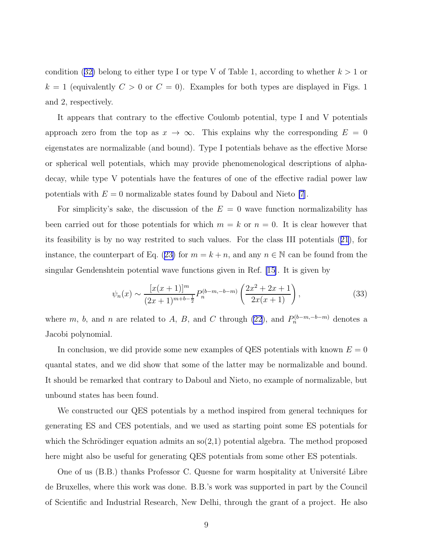condition([32\)](#page-7-0) belong to either type I or type V of Table 1, according to whether  $k > 1$  or  $k = 1$  (equivalently  $C > 0$  or  $C = 0$ ). Examples for both types are displayed in Figs. 1 and 2, respectively.

It appears that contrary to the effective Coulomb potential, type I and V potentials approach zero from the top as  $x \to \infty$ . This explains why the corresponding  $E = 0$ eigenstates are normalizable (and bound). Type I potentials behave as the effective Morse or spherical well potentials, which may provide phenomenological descriptions of alphadecay, while type V potentials have the features of one of the effective radial power law potentials with  $E = 0$  normalizable states found by Daboul and Nieto [\[7](#page-10-0)].

For simplicity's sake, the discussion of the  $E = 0$  wave function normalizability has been carried out for those potentials for which  $m = k$  or  $n = 0$ . It is clear however that its feasibility is by no way restrited to such values. For the class III potentials([21](#page-6-0)), for instance,the counterpart of Eq. ([23\)](#page-6-0) for  $m = k + n$ , and any  $n \in \mathbb{N}$  can be found from the singular Gendenshtein potential wave functions given in Ref. [\[15\]](#page-10-0). It is given by

$$
\psi_n(x) \sim \frac{[x(x+1)]^m}{(2x+1)^{m+b-\frac{1}{2}}} P_n^{(b-m,-b-m)}\left(\frac{2x^2+2x+1}{2x(x+1)}\right),\tag{33}
$$

where m, b, and n are related to A, B, and C through [\(22](#page-6-0)), and  $P_n^{(b-m,-b-m)}$  denotes a Jacobi polynomial.

In conclusion, we did provide some new examples of QES potentials with known  $E = 0$ quantal states, and we did show that some of the latter may be normalizable and bound. It should be remarked that contrary to Daboul and Nieto, no example of normalizable, but unbound states has been found.

We constructed our QES potentials by a method inspired from general techniques for generating ES and CES potentials, and we used as starting point some ES potentials for which the Schrödinger equation admits an  $\mathfrak{so}(2,1)$  potential algebra. The method proposed here might also be useful for generating QES potentials from some other ES potentials.

One of us  $(B.B.)$  thanks Professor C. Quesne for warm hospitality at Université Libre de Bruxelles, where this work was done. B.B.'s work was supported in part by the Council of Scientific and Industrial Research, New Delhi, through the grant of a project. He also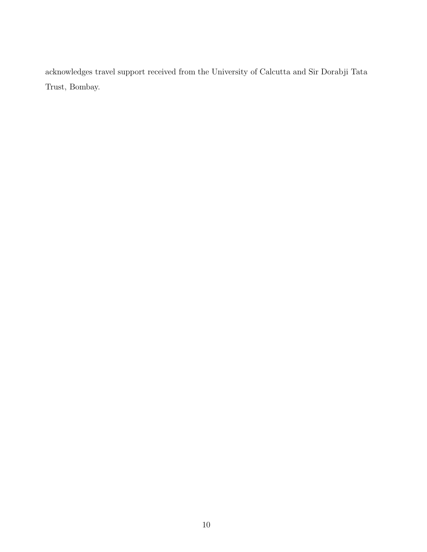acknowledges travel support received from the University of Calcutta and Sir Dorabji Tata Trust, Bombay.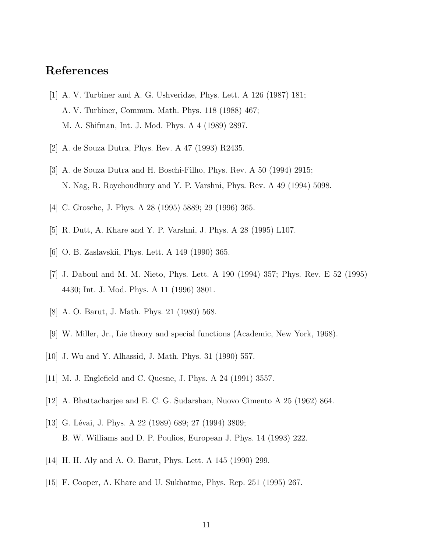## <span id="page-10-0"></span>References

- [1] A. V. Turbiner and A. G. Ushveridze, Phys. Lett. A 126 (1987) 181; A. V. Turbiner, Commun. Math. Phys. 118 (1988) 467; M. A. Shifman, Int. J. Mod. Phys. A 4 (1989) 2897.
- [2] A. de Souza Dutra, Phys. Rev. A 47 (1993) R2435.
- [3] A. de Souza Dutra and H. Boschi-Filho, Phys. Rev. A 50 (1994) 2915; N. Nag, R. Roychoudhury and Y. P. Varshni, Phys. Rev. A 49 (1994) 5098.
- [4] C. Grosche, J. Phys. A 28 (1995) 5889; 29 (1996) 365.
- [5] R. Dutt, A. Khare and Y. P. Varshni, J. Phys. A 28 (1995) L107.
- [6] O. B. Zaslavskii, Phys. Lett. A 149 (1990) 365.
- [7] J. Daboul and M. M. Nieto, Phys. Lett. A 190 (1994) 357; Phys. Rev. E 52 (1995) 4430; Int. J. Mod. Phys. A 11 (1996) 3801.
- [8] A. O. Barut, J. Math. Phys. 21 (1980) 568.
- [9] W. Miller, Jr., Lie theory and special functions (Academic, New York, 1968).
- [10] J. Wu and Y. Alhassid, J. Math. Phys. 31 (1990) 557.
- [11] M. J. Englefield and C. Quesne, J. Phys. A 24 (1991) 3557.
- [12] A. Bhattacharjee and E. C. G. Sudarshan, Nuovo Cimento A 25 (1962) 864.
- [13] G. Lévai, J. Phys. A 22 (1989) 689; 27 (1994) 3809; B. W. Williams and D. P. Poulios, European J. Phys. 14 (1993) 222.
- [14] H. H. Aly and A. O. Barut, Phys. Lett. A 145 (1990) 299.
- [15] F. Cooper, A. Khare and U. Sukhatme, Phys. Rep. 251 (1995) 267.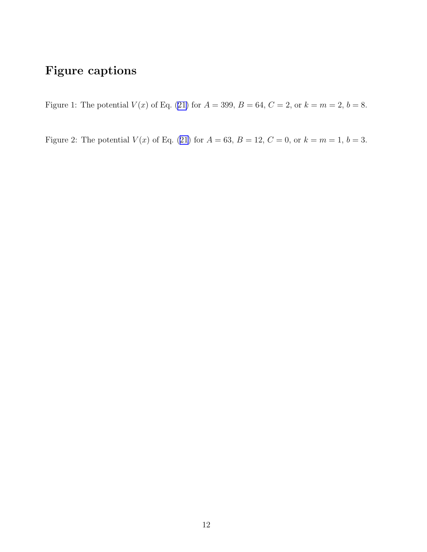## Figure captions

Figure1: The potential  $V(x)$  of Eq. ([21\)](#page-6-0) for  $A = 399$ ,  $B = 64$ ,  $C = 2$ , or  $k = m = 2$ ,  $b = 8$ .

Figure2: The potential  $V(x)$  of Eq. ([21\)](#page-6-0) for  $A = 63$ ,  $B = 12$ ,  $C = 0$ , or  $k = m = 1$ ,  $b = 3$ .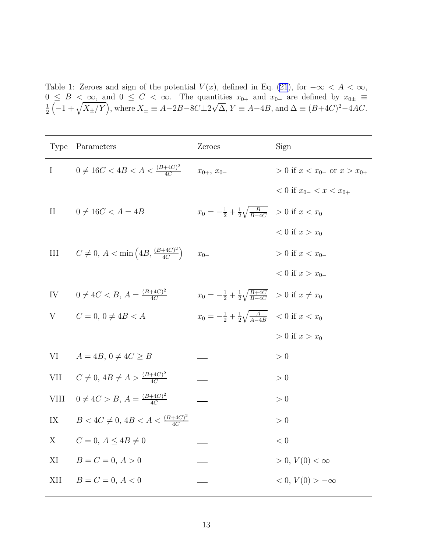Table 1: Zeroes and sign of the potential  $V(x)$ , defined in Eq. [\(21](#page-6-0)), for  $-\infty < A < \infty$ ,  $0 \leq B < \infty$ , and  $0 \leq C < \infty$ . The quantities  $x_{0+}$  and  $x_{0-}$  are defined by  $x_{0\pm} \equiv \frac{1}{2} \left( \begin{array}{cc} 1 + \sqrt{X} & N \end{array} \right)$  where  $X_{\pm} = A - 2B - 8C + 2\sqrt{A}$   $Y = A - 4B$  and  $\Delta = (B + 4C)^2 - 4AC$  $\frac{1}{2}$  $\left(-1+\sqrt{X_{\pm}/Y}\right)$ , where  $X_{\pm} \equiv A-2B-8C\pm 2\sqrt{\Delta}$ ,  $Y \equiv A-4B$ , and  $\Delta \equiv (B+4C)^2-4AC$ .

| <b>Type</b>   | Parameters                                               | Zeroes                                                                          | Sign                                  |
|---------------|----------------------------------------------------------|---------------------------------------------------------------------------------|---------------------------------------|
| $\mathbf{I}$  | $0 \neq 16C < 4B < A < \frac{(B+4C)^2}{4C}$              | $x_{0+}, x_{0-}$                                                                | $> 0$ if $x < x_{0-}$ or $x > x_{0+}$ |
|               |                                                          |                                                                                 | $0 \text{ if } x_{0-} < x < x_{0+}$   |
| $\rm II$      | $0 \neq 16C < A = 4B$                                    | $x_0 = -\frac{1}{2} + \frac{1}{2} \sqrt{\frac{B}{B-4C}} > 0$ if $x < x_0$       |                                       |
|               |                                                          |                                                                                 | $0 \text{ if } x > x_0$               |
| Ш             | $C \neq 0, A < \min\left(4B, \frac{(B+4C)^2}{4C}\right)$ | $x_{0-}$                                                                        | $> 0$ if $x < x_{0-}$                 |
|               |                                                          |                                                                                 | $0 \text{ if } x > x_{0-}$            |
| IV            | $0 \neq 4C < B, A = \frac{(B+4C)^2}{4C}$                 | $x_0 = -\frac{1}{2} + \frac{1}{2} \sqrt{\frac{B+4C}{B-4C}} > 0$ if $x \neq x_0$ |                                       |
| V             | $C = 0, 0 \neq 4B < A$                                   | $x_0 = -\frac{1}{2} + \frac{1}{2}\sqrt{\frac{A}{A-4B}}$ < 0 if $x < x_0$        |                                       |
|               |                                                          |                                                                                 | $> 0$ if $x > x_0$                    |
| VI            | $A = 4B$ , $0 \neq 4C \geq B$                            |                                                                                 | > 0                                   |
| <b>VII</b>    | $C \neq 0, 4B \neq A > \frac{(B+4C)^2}{4C}$              |                                                                                 | > 0                                   |
| <b>VIII</b>   | $0 \neq 4C > B, A = \frac{(B+4C)^2}{4C}$                 |                                                                                 | > 0                                   |
| $\mathbf{IX}$ | $B < 4C \neq 0, 4B < A < \frac{(B+4C)^2}{4C}$            | $\overline{\phantom{0}}$                                                        | > 0                                   |
| X             | $C = 0, A \le 4B \ne 0$                                  |                                                                                 | $< 0\,$                               |
| XI            | $B = C = 0, A > 0$                                       |                                                                                 | $> 0, V(0) < \infty$                  |
| XII           | $B = C = 0, A < 0$                                       |                                                                                 | $0, V(0) > -\infty$                   |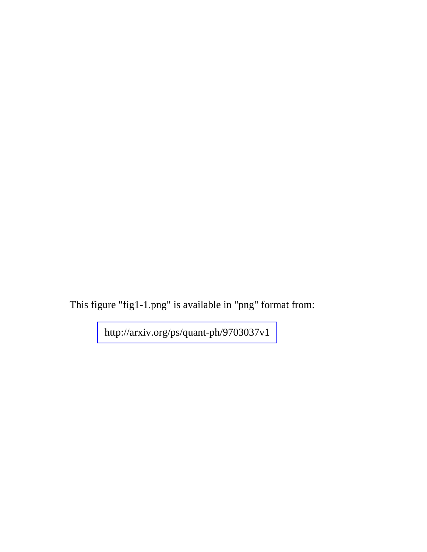This figure "fig1-1.png" is available in "png" format from:

<http://arxiv.org/ps/quant-ph/9703037v1>